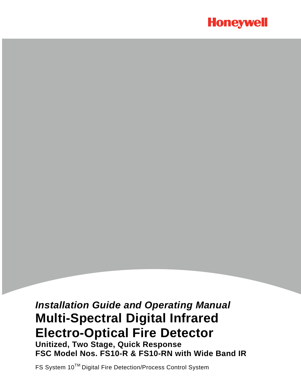

# *Installation Guide and Operating Manual* **Multi-Spectral Digital Infrared Electro-Optical Fire Detector Unitized, Two Stage, Quick Response FSC Model Nos. FS10-R & FS10-RN with Wide Band IR**

FS System 10TM Digital Fire Detection/Process Control System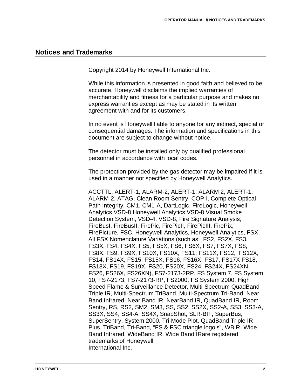# **Notices and Trademarks**

Copyright 2014 by Honeywell International Inc.

While this information is presented in good faith and believed to be accurate, Honeywell disclaims the implied warranties of merchantability and fitness for a particular purpose and makes no express warranties except as may be stated in its written agreement with and for its customers.

In no event is Honeywell liable to anyone for any indirect, special or consequential damages. The information and specifications in this document are subject to change without notice.

The detector must be installed only by qualified professional personnel in accordance with local codes.

The protection provided by the gas detector may be impaired if it is used in a manner not specified by Honeywell Analytics.

ACCTTL, ALERT-1, ALARM-2, ALERT-1: ALARM 2, ALERT-1: ALARM-2, ATAG, Clean Room Sentry, COP-i, Complete Optical Path Integrity, CM1, CM1-A, DartLogic, FireLogic, Honeywell Analytics VSD-8 Honeywell Analytics VSD-8 Visual Smoke Detection System, VSD-4, VSD-8, Fire Signature Analysis, FireBusI, FireBusII, FirePic, FirePicII, FirePicIII, FirePix, FirePicture, FSC, Honeywell Analytics, Honeywell Analytics, FSX, All FSX Nomenclature Variations (such as: FS2, FS2X, FS3, FS3X, FS4, FS4X, FS5, FS5X, FS6, FS6X, FS7, FS7X, FS8, FS8X, FS9, FS9X, FS10X, FS10X, FS11, FS11X, FS12, FS12X, FS14, FS14X, FS15, FS15X, FS16, FS16X, FS17, FS17X FS18, FS18X, FS19, FS19X, FS20, FS20X, FS24, FS24X, FS24XN, FS26, FS26X, FS26XN), FS7-2173-2RP, FS System 7, FS System 10, FS7-2173, FS7-2173-RP, FS2000, FS System 2000, High Speed Flame & Surveillance Detector, Multi-Spectrum QuadBand Triple IR, Multi-Spectrum TriBand, Multi-Spectrum Tri-Band, Near Band Infrared, Near Band IR, NearBand IR, QuadBand IR, Room Sentry, RS, RS2, SM2, SM3, SS, SS2, SS2X, SS2-A, SS3, SS3-A, SS3X, SS4, SS4-A, SS4X, SnapShot, SLR-BIT, SuperBus, SuperSentry, System 2000, Tri-Mode Plot, QuadBand Triple IR Plus, TriBand, Tri-Band, "FS & FSC triangle logo's", WBIR, Wide Band Infrared, WideBand IR, Wide Band IRare registered trademarks of Honeywell International Inc.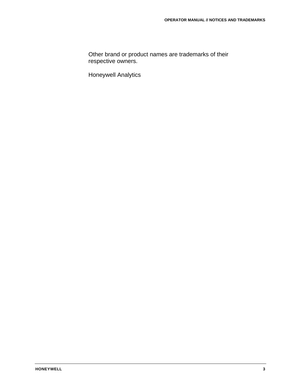Other brand or product names are trademarks of their respective owners.

Honeywell Analytics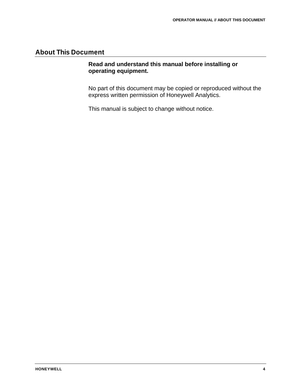# **About This Document**

### **Read and understand this manual before installing or operating equipment.**

No part of this document may be copied or reproduced without the express written permission of Honeywell Analytics.

This manual is subject to change without notice.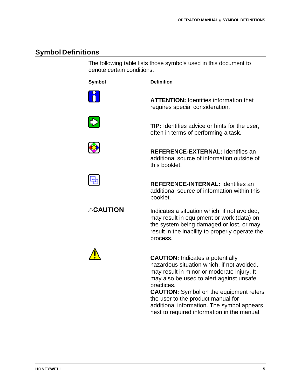# **Symbol Definitions**

The following table lists those symbols used in this document to denote certain conditions.

**Symbol Definition**





**ATTENTION:** Identifies information that

requires special consideration.

**REFERENCE-EXTERNAL:** Identifies an additional source of information outside of this booklet.

**REFERENCE-INTERNAL:** Identifies an additional source of information within this booklet.

**ACAUTION** 

Indicates a situation which, if not avoided, may result in equipment or work (data) on the system being damaged or lost, or may result in the inability to properly operate the process.



**CAUTION:** Indicates a potentially hazardous situation which, if not avoided, may result in minor or moderate injury. It may also be used to alert against unsafe practices.

**CAUTION:** Symbol on the equipment refers the user to the product manual for additional information. The symbol appears next to required information in the manual.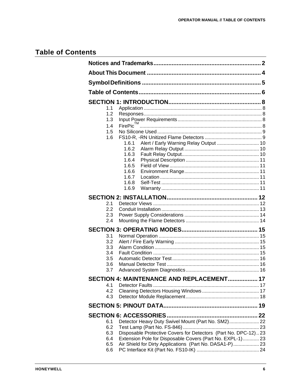# **Table of Contents**

| 1.1<br>1.2 |                                                                |  |
|------------|----------------------------------------------------------------|--|
| 1.3        |                                                                |  |
| 1.4        | FirePic <sup>TM</sup>                                          |  |
| 1.5        |                                                                |  |
| 1.6        |                                                                |  |
|            | 1.6.1                                                          |  |
|            | 1.6.2                                                          |  |
|            | 1.6.3<br>1.6.4                                                 |  |
|            | 1.6.5                                                          |  |
|            | 1.6.6                                                          |  |
|            | 1.6.7                                                          |  |
|            | 1.6.8                                                          |  |
|            | 1.6.9                                                          |  |
|            |                                                                |  |
| 2.1        |                                                                |  |
| 2.2        |                                                                |  |
| 2.3        |                                                                |  |
| 2.4        |                                                                |  |
|            |                                                                |  |
| 3.1        |                                                                |  |
| 3.2        |                                                                |  |
| 3.3        |                                                                |  |
| 3.4        |                                                                |  |
| 3.5        |                                                                |  |
| 3.6        |                                                                |  |
| 3.7        |                                                                |  |
|            | SECTION 4: MAINTENANCE AND REPLACEMENT 17                      |  |
| 4.1        |                                                                |  |
| 4.2        |                                                                |  |
| 4.3        |                                                                |  |
|            |                                                                |  |
|            |                                                                |  |
| 6.1        | Detector Heavy Duty Swivel Mount (Part No. SM2) 22             |  |
| 6.2        |                                                                |  |
| 6.3        | Disposable Protective Covers for Detectors (Part No. DPC-12)23 |  |
| 6.4        | Extension Pole for Disposable Covers (Part No. EXPL-1) 23      |  |
| 6.5        | Air Shield for Dirty Applications (Part No. DASA1-P) 23        |  |
| 6.6        |                                                                |  |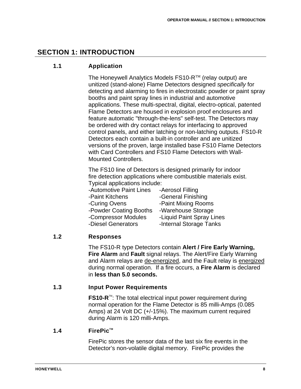# **SECTION 1: INTRODUCTION**

# **1.1 Application**

The Honeywell Analytics Models  $FS10-R^{TM}$  (relay output) are unitized (stand-alone) Flame Detectors designed *specifically* for detecting and alarming to fires in electrostatic powder or paint spray booths and paint spray lines in industrial and automotive applications. These multi-spectral, digital, electro-optical, patented Flame Detectors are housed in explosion proof enclosures and feature automatic "through-the-lens" self-test. The Detectors may be ordered with dry contact relays for interfacing to approved control panels, and either latching or non-latching outputs. FS10-R Detectors each contain a built-in controller and are unitized versions of the proven, large installed base FS10 Flame Detectors with Card Controllers and FS10 Flame Detectors with Wall-Mounted Controllers.

The FS10 line of Detectors is designed primarily for indoor fire detection applications where combustible materials exist. Typical applications include:

- -Automotive Paint Lines Aerosol Filling
- -Paint Kitchens -General Finishing
- 
- 
- 
- 
- -Curing Ovens -Paint Mixing Rooms
- -Powder Coating Booths -Warehouse Storage
	-
- -Compressor Modules Liquid Paint Spray Lines
- -Diesel Generators -Internal Storage Tanks

# **1.2 Responses**

The FS10-R type Detectors contain **Alert / Fire Early Warning, Fire Alarm** and **Fault** signal relays. The Alert/Fire Early Warning and Alarm relays are de-energized, and the Fault relay is energized during normal operation. If a fire occurs, a **Fire Alarm** is declared in **less than 5.0 seconds.**

# **1.3 Input Power Requirements**

**FS10-R<sup>™</sup>: The total electrical input power requirement during** normal operation for the Flame Detector is 85 milli-Amps (0.085 Amps) at 24 Volt DC (+/-15%). The maximum current required during Alarm is 120 milli-Amps.

# **1.4 FirePic™**

FirePic stores the sensor data of the last six fire events in the Detector's non-volatile digital memory. FirePic provides the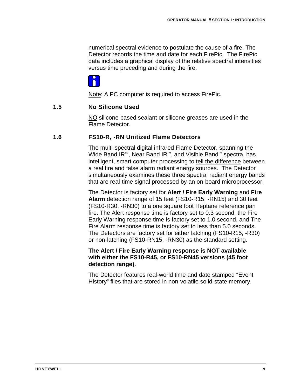numerical spectral evidence to postulate the cause of a fire. The Detector records the time and date for each FirePic. The FirePic data includes a graphical display of the relative spectral intensities versus time preceding and during the fire.



Note: A PC computer is required to access FirePic.

#### **1.5 No Silicone Used**

NO silicone based sealant or silicone greases are used in the Flame Detector.

#### **1.6 FS10-R, -RN Unitized Flame Detectors**

The multi-spectral digital infrared Flame Detector, spanning the Wide Band IR<sup>™</sup>, Near Band IR<sup>™</sup>, and Visible Band<sup>™</sup> spectra, has intelligent, smart computer processing to tell the difference between a real fire and false alarm radiant energy sources. The Detector simultaneously examines these three spectral radiant energy bands that are real-time signal processed by an on-board microprocessor.

The Detector is factory set for **Alert / Fire Early Warning** and **Fire Alarm** detection range of 15 feet (FS10-R15, -RN15) and 30 feet (FS10-R30, -RN30) to a one square foot Heptane reference pan fire. The Alert response time is factory set to 0.3 second, the Fire Early Warning response time is factory set to 1.0 second, and The Fire Alarm response time is factory set to less than 5.0 seconds. The Detectors are factory set for either latching (FS10-R15, -R30) or non-latching (FS10-RN15, -RN30) as the standard setting.

#### **The Alert / Fire Early Warning response is NOT available with either the FS10-R45, or FS10-RN45 versions (45 foot detection range).**

The Detector features real-world time and date stamped "Event History" files that are stored in non-volatile solid-state memory.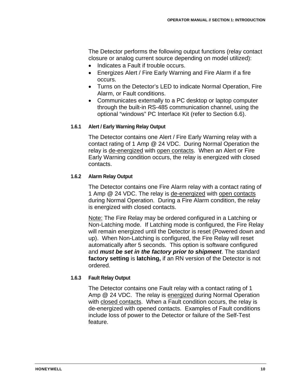The Detector performs the following output functions (relay contact closure or analog current source depending on model utilized):

- Indicates a Fault if trouble occurs.
- Energizes Alert / Fire Early Warning and Fire Alarm if a fire occurs.
- Turns on the Detector's LED to indicate Normal Operation, Fire Alarm, or Fault conditions.
- Communicates externally to a PC desktop or laptop computer through the built-in RS-485 communication channel, using the optional "windows" PC Interface Kit (refer to Section 6.6).

#### **1.6.1 Alert / Early Warning Relay Output**

The Detector contains one Alert / Fire Early Warning relay with a contact rating of 1 Amp @ 24 VDC. During Normal Operation the relay is de-energized with open contacts. When an Alert or Fire Early Warning condition occurs, the relay is energized with closed contacts.

#### **1.6.2 Alarm Relay Output**

The Detector contains one Fire Alarm relay with a contact rating of 1 Amp @ 24 VDC. The relay is de-energized with open contacts during Normal Operation. During a Fire Alarm condition, the relay is energized with closed contacts.

<u>Note:</u> The Fire Relay may be ordered configured in a Latching or Non-Latching mode. If Latching mode is configured, the Fire Relay will remain energized until the Detector is reset (Powered down and up). When Non-Latching is configured, the Fire Relay will reset automatically after 5 seconds. This option is software configured and *must be set in the factory prior to shipment*. The standard **factory setting** is **latching,** if an RN version of the Detector is not ordered.

#### **1.6.3 Fault Relay Output**

The Detector contains one Fault relay with a contact rating of 1 Amp @ 24 VDC. The relay is energized during Normal Operation with closed contacts. When a Fault condition occurs, the relay is de-energized with opened contacts. Examples of Fault conditions include loss of power to the Detector or failure of the Self-Test feature.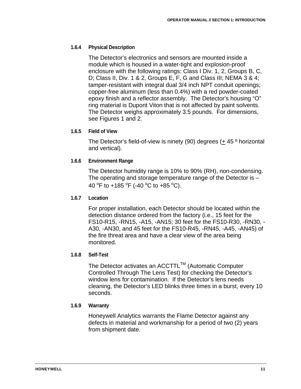### **1.6.4 Physical Description**

The Detector's electronics and sensors are mounted inside a module which is housed in a water-tight and explosion-proof enclosure with the following ratings: Class I Div. 1, 2, Groups B, C, D; Class II, Div. 1 & 2, Groups E, F, G and Class III; NEMA 3 & 4; tamper-resistant with integral dual 3/4 inch NPT conduit openings; copper-free aluminum (less than 0.4%) with a red powder-coated epoxy finish and a reflector assembly. The Detector's housing "O" ring material is Dupont Viton that is not affected by paint solvents. The Detector weighs approximately 3.5 pounds. For dimensions, see Figures 1 and 2.

### **1.6.5 Field of View**

The Detector's field-of-view is ninety (90) degrees (+ 45 º horizontal and vertical).

### **1.6.6 Environment Range**

The Detector humidity range is 10% to 90% (RH), non-condensing. The operating and storage temperature range of the Detector is – 40  $\mathrm{^{\circ}F}$  to +185  $\mathrm{^{\circ}F}$  (-40  $\mathrm{^{\circ}C}$  to +85  $\mathrm{^{\circ}C}$ ).

#### **1.6.7 Location**

For proper installation, each Detector should be located within the detection distance ordered from the factory (i.e., 15 feet for the FS10-R15, -RN15, -A15, -AN15; 30 feet for the FS10-R30, -RN30, - A30, -AN30, and 45 feet for the FS10-R45, -RN45, -A45, -AN45) of the fire threat area and have a clear view of the area being monitored.

#### **1.6.8 Self-Test**

The Detector activates an ACCTTL™ (Automatic Computer Controlled Through The Lens Test) for checking the Detector's window lens for contamination. If the Detector's lens needs cleaning, the Detector's LED blinks three times in a burst, every 10 seconds.

#### **1.6.9 Warranty**

Honeywell Analytics warrants the Flame Detector against any defects in material and workmanship for a period of two (2) years from shipment date.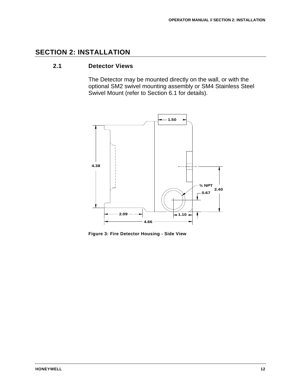# **SECTION 2: INSTALLATION**

## **2.1 Detector Views**

The Detector may be mounted directly on the wall, or with the optional SM2 swivel mounting assembly or SM4 Stainless Steel Swivel Mount (refer to Section 6.1 for details).



**Figure 3: Fire Detector Housing - Side View**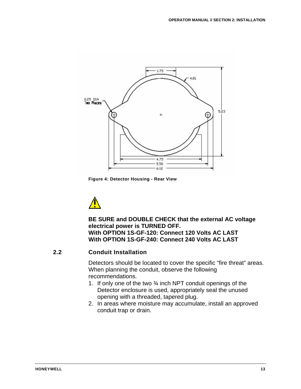

**Figure 4: Detector Housing - Rear View**



**BE SURE and DOUBLE CHECK that the external AC voltage electrical power is TURNED OFF. With OPTION 1S-GF-120: Connect 120 Volts AC LAST With OPTION 1S-GF-240: Connect 240 Volts AC LAST**

### **2.2 Conduit Installation**

Detectors should be located to cover the specific "fire threat" areas. When planning the conduit, observe the following recommendations.

- 1. If only one of the two ¾ inch NPT conduit openings of the Detector enclosure is used, appropriately seal the unused opening with a threaded, tapered plug.
- 2. In areas where moisture may accumulate, install an approved conduit trap or drain.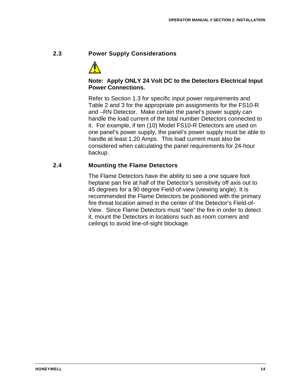# **2.3 Power Supply Considerations**



# **Note: Apply ONLY 24 Volt DC to the Detectors Electrical Input Power Connections.**

Refer to Section 1.3 for specific input power requirements and Table 2 and 3 for the appropriate pin assignments for the FS10-R and –RN Detector. Make certain the panel's power supply can handle the load current of the total number Detectors connected to it. For example, if ten (10) Model FS10-R Detectors are used on one panel's power supply, the panel's power supply must be able to handle at least 1.20 Amps. This load current must also be considered when calculating the panel requirements for 24-hour backup.

# **2.4 Mounting the Flame Detectors**

The Flame Detectors have the ability to see a one square foot heptane pan fire at half of the Detector's sensitivity off axis out to 45 degrees for a 90 degree Field-of-view (viewing angle). It is recommended the Flame Detectors be positioned with the primary fire threat location aimed in the center of the Detector's Field-of-View. Since Flame Detectors must "see" the fire in order to detect it, mount the Detectors in locations such as room corners and ceilings to avoid line-of-sight blockage.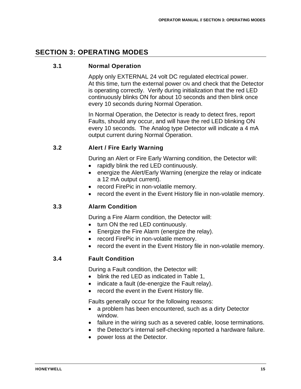# **SECTION 3: OPERATING MODES**

### **3.1 Normal Operation**

Apply only EXTERNAL 24 volt DC regulated electrical power. At this time, turn the external power ON and check that the Detector is operating correctly. Verify during initialization that the red LED continuously blinks ON for about 10 seconds and then blink once every 10 seconds during Normal Operation.

In Normal Operation, the Detector is ready to detect fires, report Faults, should any occur, and will have the red LED blinking ON every 10 seconds. The Analog type Detector will indicate a 4 mA output current during Normal Operation.

### **3.2 Alert / Fire Early Warning**

During an Alert or Fire Early Warning condition, the Detector will:

- rapidly blink the red LED continuously.
- energize the Alert/Early Warning (energize the relay or indicate a 12 mA output current).
- record FirePic in non-volatile memory.
- record the event in the Event History file in non-volatile memory.

# **3.3 Alarm Condition**

During a Fire Alarm condition, the Detector will:

- turn ON the red LED continuously.
- Energize the Fire Alarm (energize the relay).
- record FirePic in non-volatile memory.
- record the event in the Event History file in non-volatile memory.

#### **3.4 Fault Condition**

During a Fault condition, the Detector will:

- blink the red LED as indicated in Table 1,
- indicate a fault (de-energize the Fault relay).
- record the event in the Event History file.

Faults generally occur for the following reasons:

- a problem has been encountered, such as a dirty Detector window.
- failure in the wiring such as a severed cable, loose terminations.
- the Detector's internal self-checking reported a hardware failure.
- power loss at the Detector.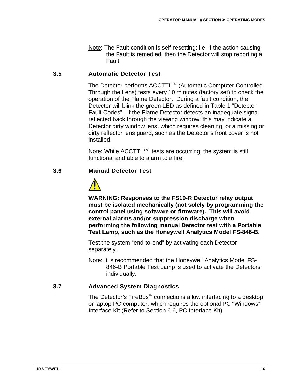Note: The Fault condition is self-resetting; i.e. if the action causing the Fault is remedied, then the Detector will stop reporting a Fault.

# **3.5 Automatic Detector Test**

The Detector performs ACCTTL™ (Automatic Computer Controlled Through the Lens) tests every 10 minutes (factory set) to check the operation of the Flame Detector. During a fault condition, the Detector will blink the green LED as defined in Table 1 "Detector Fault Codes". If the Flame Detector detects an inadequate signal reflected back through the viewing window; this may indicate a Detector dirty window lens, which requires cleaning, or a missing or dirty reflector lens guard, such as the Detector's front cover is not installed.

Note: While ACCTTL™ tests are occurring, the system is still functional and able to alarm to a fire.

# **3.6 Manual Detector Test**



**WARNING: Responses to the FS10-R Detector relay output must be isolated mechanically (not solely by programming the control panel using software or firmware). This will avoid external alarms and/or suppression discharge when performing the following manual Detector test with a Portable Test Lamp, such as the Honeywell Analytics Model FS-846-B.**

Test the system "end-to-end" by activating each Detector separately.

Note: It is recommended that the Honeywell Analytics Model FS-846-B Portable Test Lamp is used to activate the Detectors individually.

# **3.7 Advanced System Diagnostics**

The Detector's FireBus<sup>™</sup> connections allow interfacing to a desktop or laptop PC computer, which requires the optional PC "Windows" Interface Kit (Refer to Section 6.6, PC Interface Kit).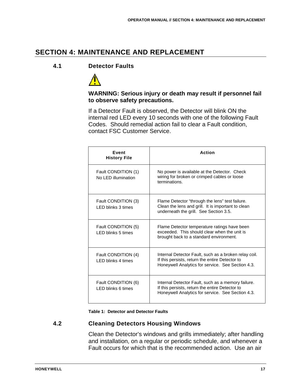# **SECTION 4: MAINTENANCE AND REPLACEMENT**

## **4.1 Detector Faults**



### **WARNING: Serious injury or death may result if personnel fail to observe safety precautions.**

If a Detector Fault is observed, the Detector will blink ON the internal red LED every 10 seconds with one of the following Fault Codes. Should remedial action fail to clear a Fault condition, contact FSC Customer Service.

| <b>Fvent</b><br><b>History File</b>              | Action                                                                                                                                                        |  |
|--------------------------------------------------|---------------------------------------------------------------------------------------------------------------------------------------------------------------|--|
| Fault CONDITION (1)<br>No LED illumination       | No power is available at the Detector. Check<br>wiring for broken or crimped cables or loose<br>terminations.                                                 |  |
| Fault CONDITION (3)<br><b>LED blinks 3 times</b> | Flame Detector "through the lens" test failure.<br>Clean the lens and grill. It is important to clean<br>underneath the grill. See Section 3.5.               |  |
| Fault CONDITION (5)<br><b>LED blinks 5 times</b> | Flame Detector temperature ratings have been<br>exceeded. This should clear when the unit is<br>brought back to a standard environment.                       |  |
| Fault CONDITION (4)<br><b>LED blinks 4 times</b> | Internal Detector Fault, such as a broken relay coil.<br>If this persists, return the entire Detector to<br>Honeywell Analytics for service. See Section 4.3. |  |
| Fault CONDITION (6)<br>LED blinks 6 times        | Internal Detector Fault, such as a memory failure.<br>If this persists, return the entire Detector to<br>Honeywell Analytics for service. See Section 4.3.    |  |

**Table 1: Detector and Detector Faults**

# **4.2 Cleaning Detectors Housing Windows**

Clean the Detector's windows and grills immediately; after handling and installation, on a regular or periodic schedule, and whenever a Fault occurs for which that is the recommended action. Use an air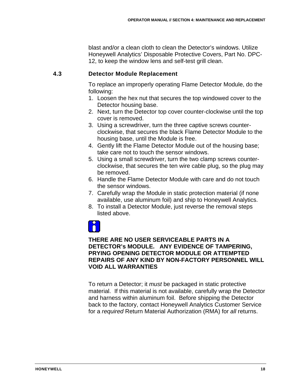blast and/or a clean cloth to clean the Detector's windows. Utilize Honeywell Analytics' Disposable Protective Covers, Part No. DPC-12, to keep the window lens and self-test grill clean.

# **4.3 Detector Module Replacement**

To replace an improperly operating Flame Detector Module, do the following:

- 1. Loosen the hex nut that secures the top windowed cover to the Detector housing base.
- 2. Next, turn the Detector top cover counter-clockwise until the top cover is removed.
- 3. Using a screwdriver, turn the three captive screws counterclockwise, that secures the black Flame Detector Module to the housing base, until the Module is free.
- 4. Gently lift the Flame Detector Module out of the housing base; take care not to touch the sensor windows.
- 5. Using a small screwdriver, turn the two clamp screws counterclockwise, that secures the ten wire cable plug, so the plug may be removed.
- 6. Handle the Flame Detector Module with care and do not touch the sensor windows.
- 7. Carefully wrap the Module in static protection material (if none available, use aluminum foil) and ship to Honeywell Analytics.
- 8. To install a Detector Module, just reverse the removal steps listed above.



### **THERE ARE NO USER SERVICEABLE PARTS IN A DETECTOR's MODULE. ANY EVIDENCE OF TAMPERING, PRYING OPENING DETECTOR MODULE OR ATTEMPTED REPAIRS OF ANY KIND BY NON-FACTORY PERSONNEL WILL VOID ALL WARRANTIES**

To return a Detector; it *must* be packaged in static protective material. If this material is not available, carefully wrap the Detector and harness within aluminum foil. Before shipping the Detector back to the factory, contact Honeywell Analytics Customer Service for a *required* Return Material Authorization (RMA) for *all* returns.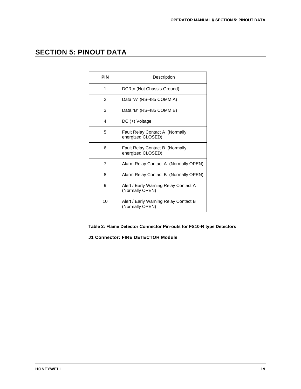# **SECTION 5: PINOUT DATA**

| <b>PIN</b> | Description                                              |  |
|------------|----------------------------------------------------------|--|
| 1          | DCRtn (Not Chassis Ground)                               |  |
| 2          | Data "A" (RS-485 COMM A)                                 |  |
| 3          | Data "B" (RS-485 COMM B)                                 |  |
| 4          | DC (+) Voltage                                           |  |
| 5          | Fault Relay Contact A (Normally<br>energized CLOSED)     |  |
| 6          | Fault Relay Contact B (Normally<br>energized CLOSED)     |  |
| 7          | Alarm Relay Contact A (Normally OPEN)                    |  |
| 8          | Alarm Relay Contact B (Normally OPEN)                    |  |
| 9          | Alert / Early Warning Relay Contact A<br>(Normally OPEN) |  |
| 10         | Alert / Early Warning Relay Contact B<br>(Normally OPEN) |  |

**Table 2: Flame Detector Connector Pin-outs for FS10-R type Detectors**

**J1 Connector: FIRE DETECTOR Module**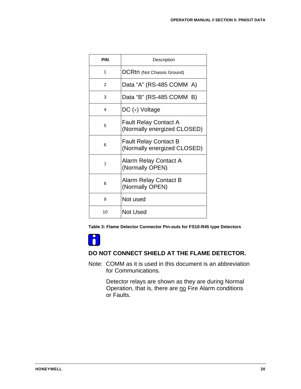| <b>PIN</b>     | Description                                                 |  |
|----------------|-------------------------------------------------------------|--|
| 1              | DCRtn (Not Chassis Ground)                                  |  |
| $\mathfrak{p}$ | Data "A" (RS-485 COMM A)                                    |  |
| 3              | Data "B" (RS-485 COMM B)                                    |  |
| 4              | DC (+) Voltage                                              |  |
| 5              | <b>Fault Relay Contact A</b><br>(Normally energized CLOSED) |  |
| 6              | <b>Fault Relay Contact B</b><br>(Normally energized CLOSED) |  |
| $\overline{7}$ | Alarm Relay Contact A<br>(Normally OPEN)                    |  |
| 8              | Alarm Relay Contact B<br>(Normally OPEN)                    |  |
| 9              | Not used                                                    |  |
| 10             | <b>Not Used</b>                                             |  |

**Table 3: Flame Detector Connector Pin-outs for FS10-R45 type Detectors**



#### **DO NOT CONNECT SHIELD AT THE FLAME DETECTOR.**

Note: COMM as it is used in this document is an abbreviation for Communications.

> Detector relays are shown as they are during Normal Operation, that is, there are no Fire Alarm conditions or Faults.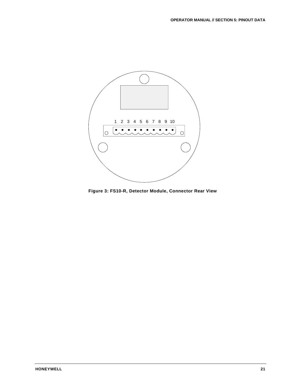

**Figure 3: FS10-R, Detector Module, Connector Rear View**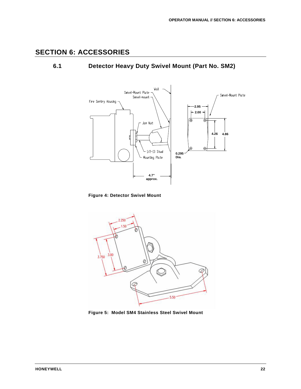# **SECTION 6: ACCESSORIES**

# **6.1 Detector Heavy Duty Swivel Mount (Part No. SM2)**



**Figure 4: Detector Swivel Mount** 



**Figure 5: Model SM4 Stainless Steel Swivel Mount**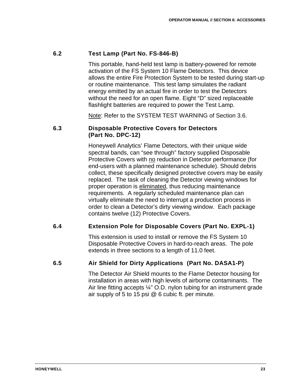# **6.2 Test Lamp (Part No. FS-846-B)**

This portable, hand-held test lamp is battery-powered for remote activation of the FS System 10 Flame Detectors. This device allows the entire Fire Protection System to be tested during start-up or routine maintenance. This test lamp simulates the radiant energy emitted by an actual fire in order to test the Detectors without the need for an open flame. Eight "D" sized replaceable flashlight batteries are required to power the Test Lamp.

<u>Note</u>: Refer to the SYSTEM TEST WARNING of Section 3.6.

### **6.3 Disposable Protective Covers for Detectors (Part No. DPC-12)**

Honeywell Analytics' Flame Detectors, with their unique wide spectral bands, can "see through" factory supplied Disposable Protective Covers with no reduction in Detector performance (for end-users with a planned maintenance schedule). Should debris collect, these specifically designed protective covers may be easily replaced. The task of cleaning the Detector viewing windows for proper operation is eliminated, thus reducing maintenance requirements. A regularly scheduled maintenance plan can virtually eliminate the need to interrupt a production process in order to clean a Detector's dirty viewing window. Each package contains twelve (12) Protective Covers.

# **6.4 Extension Pole for Disposable Covers (Part No. EXPL-1)**

This extension is used to install or remove the FS System 10 Disposable Protective Covers in hard-to-reach areas. The pole extends in three sections to a length of 11.0 feet.

# **6.5 Air Shield for Dirty Applications (Part No. DASA1-P)**

The Detector Air Shield mounts to the Flame Detector housing for installation in areas with high levels of airborne contaminants. The Air line fitting accepts  $\frac{1}{4}$ " O.D. nylon tubing for an instrument grade air supply of 5 to 15 psi @ 6 cubic ft. per minute.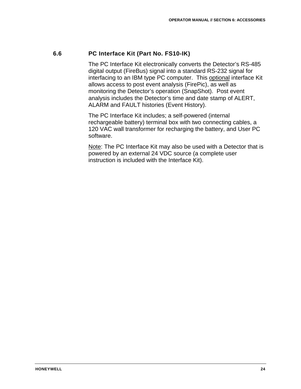# **6.6 PC Interface Kit (Part No. FS10-IK)**

The PC Interface Kit electronically converts the Detector's RS-485 digital output (FireBus) signal into a standard RS-232 signal for interfacing to an IBM type PC computer. This <u>optional</u> interface Kit allows access to post event analysis (FirePic), as well as monitoring the Detector's operation (SnapShot). Post event analysis includes the Detector's time and date stamp of ALERT, ALARM and FAULT histories (Event History).

The PC Interface Kit includes; a self-powered (internal rechargeable battery) terminal box with two connecting cables, a 120 VAC wall transformer for recharging the battery, and User PC software.

Note: The PC Interface Kit may also be used with a Detector that is powered by an external 24 VDC source (a complete user instruction is included with the Interface Kit).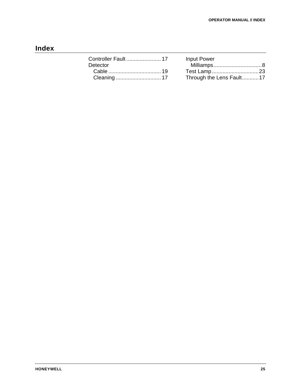# **Index**

|          | <b>Input Power</b>       |
|----------|--------------------------|
| Detector |                          |
|          | Test Lamp23              |
|          | Through the Lens Fault17 |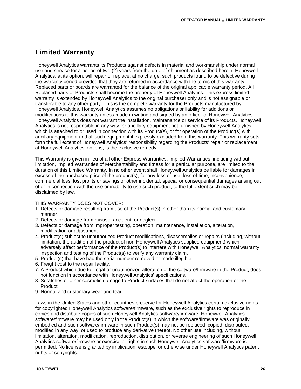# **Limited Warranty**

Honeywell Analytics warrants its Products against defects in material and workmanship under normal use and service for a period of two (2) years from the date of shipment as described herein. Honeywell Analytics, at its option, will repair or replace, at no charge, such products found to be defective during the warranty period provided that they are returned in accordance with the terms of this warranty. Replaced parts or boards are warranted for the balance of the original applicable warranty period. All Replaced parts of Products shall become the property of Honeywell Analytics. This express limited warranty is extended by Honeywell Analytics to the original purchaser only and is not assignable or transferable to any other party. This is the complete warranty for the Products manufactured by Honeywell Analytics. Honeywell Analytics assumes no obligations or liability for additions or modifications to this warranty unless made in writing and signed by an officer of Honeywell Analytics. Honeywell Analytics does not warrant the installation, maintenance or service of its Products. Honeywell Analytics is not responsible in any way for ancillary equipment not furnished by Honeywell Analytics, which is attached to or used in connection with its Product(s), or for operation of the Product(s) with ancillary equipment and all such equipment if expressly excluded from this warranty. This warranty sets forth the full extent of Honeywell Analytics' responsibility regarding the Products' repair or replacement at Honeywell Analytics' options, is the exclusive remedy.

This Warranty is given in lieu of all other Express Warranties, Implied Warranties, including without limitation, Implied Warranties of Merchantability and fitness for a particular purpose, are limited to the duration of this Limited Warranty. In no other event shall Honeywell Analytics be liable for damages in excess of the purchased price of the product(s), for any loss of use, loss of time, inconvenience, commercial loss, lost profits or savings or other incidental, special or consequential damages arising out of or in connection with the use or inability to use such product, to the full extent such may be disclaimed by law.

#### THIS WARRANTY DOES NOT COVER:

- 1. Defects or damage resulting from use of the Product(s) in other than its normal and customary manner.
- 2. Defects or damage from misuse, accident, or neglect.
- 3. Defects or damage from improper testing, operation, maintenance, installation, alteration, modification or adjustment.
- 4. Product(s) subject to unauthorized Product modifications, disassemblies or repairs (including, without limitation, the audition of the product of non-Honeywell Analytics supplied equipment) which adversely affect performance of the Product(s) to interfere with Honeywell Analytics' normal warranty inspection and testing of the Product(s) to verify any warranty claim.
- 5. Product(s) that have had the serial number removed or made illegible.
- 6. Freight cost to the repair facility.
- 7. A Product which due to illegal or unauthorized alteration of the software/firmware in the Product, does not function in accordance with Honeywell Analytics' specifications.
- 8. Scratches or other cosmetic damage to Product surfaces that do not affect the operation of the Product.
- 9. Normal and customary wear and tear.

Laws in the United States and other countries preserve for Honeywell Analytics certain exclusive rights for copyrighted Honeywell Analytics software/firmware, such as the exclusive rights to reproduce in copies and distribute copies of such Honeywell Analytics software/firmware. Honeywell Analytics software/firmware may be used only in the Product(s) in which the software/firmware was originally embodied and such software/firmware in such Product(s) may not be replaced, copied, distributed, modified in any way, or used to produce any derivative thereof. No other use including, without limitation, alteration, modification, reproduction, distribution, or reverse engineering of such Honeywell Analytics software/firmware or exercise or rights in such Honeywell Analytics software/firmware is permitted. No license is granted by implication, estoppel or otherwise under Honeywell Analytics patent rights or copyrights.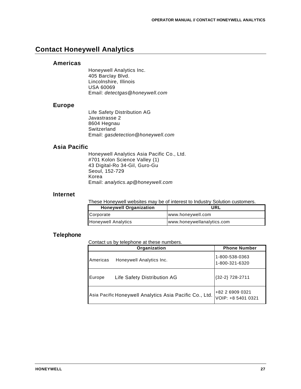# **Contact Honeywell Analytics**

#### **Americas**

Honeywell Analytics Inc. 405 Barclay Blvd. Lincolnshire, Illinois USA 60069 Email: *detectgas@honeywell.com*

#### **Europe**

Life Safety Distribution AG Javastrasse 2 8604 Hegnau Switzerland Email: *gasdetection@honeywell.com*

#### **Asia Pacific**

Honeywell Analytics Asia Pacific Co., Ltd. #701 Kolon Science Valley (1) 43 Digital-Ro 34-Gil, Guro-Gu Seoul, 152-729 Korea Email: *analytics.ap@honeywell.com*

#### **Internet**

These Honeywell websites may be of interest to Industry Solution customers.

| <b>Honeywell Organization</b> | URL                        |  |
|-------------------------------|----------------------------|--|
| <b>Corporate</b>              | www.honeywell.com          |  |
| <b>Honeywell Analytics</b>    | www.honeywellanalytics.com |  |

#### **Telephone**

Contact us by telephone at these numbers.

|          | Organization                                            | <b>Phone Number</b>                   |
|----------|---------------------------------------------------------|---------------------------------------|
| Americas | Honeywell Analytics Inc.                                | 1-800-538-0363<br>1-800-321-6320      |
| Europe   | Life Safety Distribution AG                             | {32-2} 728-2711                       |
|          | Asia Pacific Honeywell Analytics Asia Pacific Co., Ltd. | +82 2 6909 0321<br>VOIP: +8 5401 0321 |